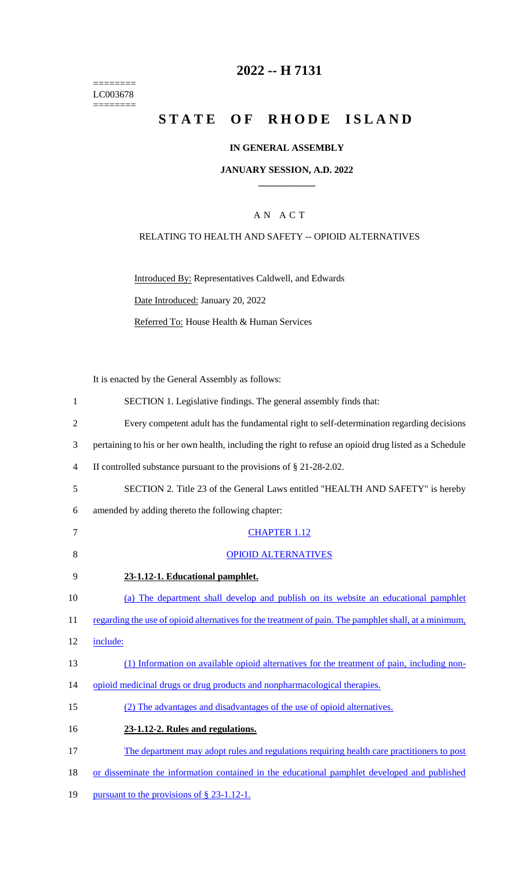======== LC003678  $=$ 

## **2022 -- H 7131**

# STATE OF RHODE ISLAND

#### **IN GENERAL ASSEMBLY**

#### **JANUARY SESSION, A.D. 2022 \_\_\_\_\_\_\_\_\_\_\_\_**

#### A N A C T

#### RELATING TO HEALTH AND SAFETY -- OPIOID ALTERNATIVES

Introduced By: Representatives Caldwell, and Edwards Date Introduced: January 20, 2022 Referred To: House Health & Human Services

It is enacted by the General Assembly as follows:

| 1              | SECTION 1. Legislative findings. The general assembly finds that:                                      |
|----------------|--------------------------------------------------------------------------------------------------------|
| $\overline{2}$ | Every competent adult has the fundamental right to self-determination regarding decisions              |
| 3              | pertaining to his or her own health, including the right to refuse an opioid drug listed as a Schedule |
| 4              | II controlled substance pursuant to the provisions of $\S$ 21-28-2.02.                                 |
| 5              | SECTION 2. Title 23 of the General Laws entitled "HEALTH AND SAFETY" is hereby                         |
| 6              | amended by adding thereto the following chapter:                                                       |
| 7              | <b>CHAPTER 1.12</b>                                                                                    |
| 8              | <b>OPIOID ALTERNATIVES</b>                                                                             |
| 9              | 23-1.12-1. Educational pamphlet.                                                                       |
| 10             | (a) The department shall develop and publish on its website an educational pamphlet                    |
| 11             | regarding the use of opioid alternatives for the treatment of pain. The pamphlet shall, at a minimum,  |
| 12             | include:                                                                                               |
| 13             | (1) Information on available opioid alternatives for the treatment of pain, including non-             |
| 14             | opioid medicinal drugs or drug products and nonpharmacological therapies.                              |
| 15             | (2) The advantages and disadvantages of the use of opioid alternatives.                                |
| 16             | 23-1.12-2. Rules and regulations.                                                                      |
| 17             | The department may adopt rules and regulations requiring health care practitioners to post             |
| 18             | or disseminate the information contained in the educational pamphlet developed and published           |
| 19             | pursuant to the provisions of § 23-1.12-1.                                                             |
|                |                                                                                                        |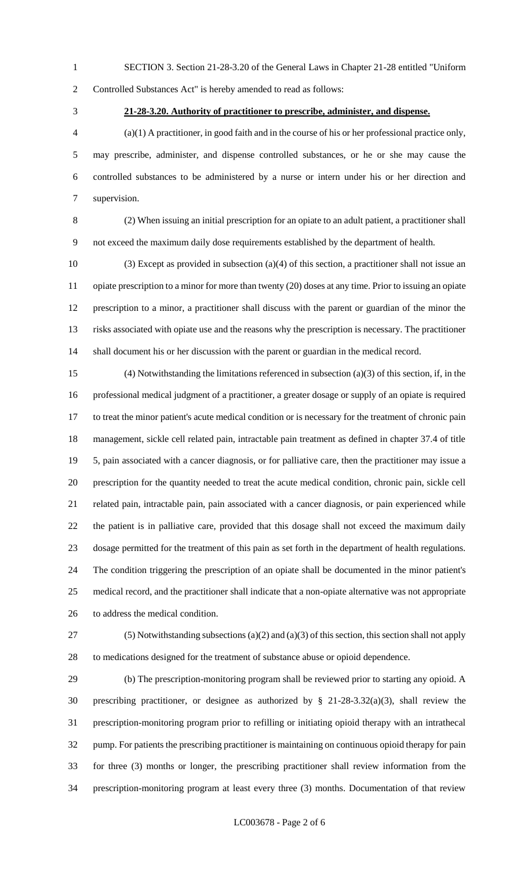SECTION 3. Section 21-28-3.20 of the General Laws in Chapter 21-28 entitled "Uniform

Controlled Substances Act" is hereby amended to read as follows:

#### **21-28-3.20. Authority of practitioner to prescribe, administer, and dispense.**

 (a)(1) A practitioner, in good faith and in the course of his or her professional practice only, may prescribe, administer, and dispense controlled substances, or he or she may cause the controlled substances to be administered by a nurse or intern under his or her direction and supervision.

 (2) When issuing an initial prescription for an opiate to an adult patient, a practitioner shall not exceed the maximum daily dose requirements established by the department of health.

 (3) Except as provided in subsection (a)(4) of this section, a practitioner shall not issue an opiate prescription to a minor for more than twenty (20) doses at any time. Prior to issuing an opiate prescription to a minor, a practitioner shall discuss with the parent or guardian of the minor the risks associated with opiate use and the reasons why the prescription is necessary. The practitioner shall document his or her discussion with the parent or guardian in the medical record.

 (4) Notwithstanding the limitations referenced in subsection (a)(3) of this section, if, in the professional medical judgment of a practitioner, a greater dosage or supply of an opiate is required to treat the minor patient's acute medical condition or is necessary for the treatment of chronic pain management, sickle cell related pain, intractable pain treatment as defined in chapter 37.4 of title 5, pain associated with a cancer diagnosis, or for palliative care, then the practitioner may issue a prescription for the quantity needed to treat the acute medical condition, chronic pain, sickle cell related pain, intractable pain, pain associated with a cancer diagnosis, or pain experienced while the patient is in palliative care, provided that this dosage shall not exceed the maximum daily dosage permitted for the treatment of this pain as set forth in the department of health regulations. The condition triggering the prescription of an opiate shall be documented in the minor patient's medical record, and the practitioner shall indicate that a non-opiate alternative was not appropriate to address the medical condition.

 (5) Notwithstanding subsections (a)(2) and (a)(3) of this section, this section shall not apply to medications designed for the treatment of substance abuse or opioid dependence.

 (b) The prescription-monitoring program shall be reviewed prior to starting any opioid. A prescribing practitioner, or designee as authorized by § 21-28-3.32(a)(3), shall review the prescription-monitoring program prior to refilling or initiating opioid therapy with an intrathecal pump. For patients the prescribing practitioner is maintaining on continuous opioid therapy for pain for three (3) months or longer, the prescribing practitioner shall review information from the prescription-monitoring program at least every three (3) months. Documentation of that review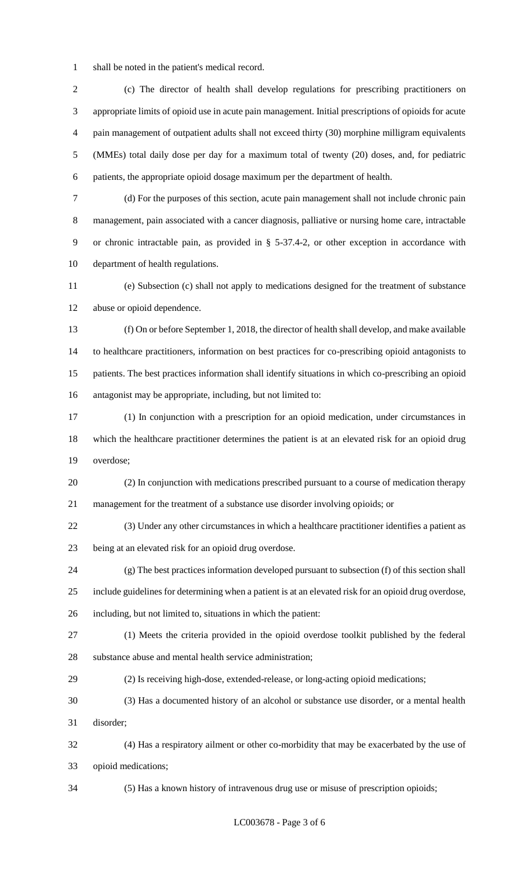shall be noted in the patient's medical record.

 (c) The director of health shall develop regulations for prescribing practitioners on appropriate limits of opioid use in acute pain management. Initial prescriptions of opioids for acute pain management of outpatient adults shall not exceed thirty (30) morphine milligram equivalents (MMEs) total daily dose per day for a maximum total of twenty (20) doses, and, for pediatric patients, the appropriate opioid dosage maximum per the department of health.

 (d) For the purposes of this section, acute pain management shall not include chronic pain management, pain associated with a cancer diagnosis, palliative or nursing home care, intractable or chronic intractable pain, as provided in § 5-37.4-2, or other exception in accordance with department of health regulations.

 (e) Subsection (c) shall not apply to medications designed for the treatment of substance abuse or opioid dependence.

 (f) On or before September 1, 2018, the director of health shall develop, and make available to healthcare practitioners, information on best practices for co-prescribing opioid antagonists to patients. The best practices information shall identify situations in which co-prescribing an opioid antagonist may be appropriate, including, but not limited to:

 (1) In conjunction with a prescription for an opioid medication, under circumstances in which the healthcare practitioner determines the patient is at an elevated risk for an opioid drug overdose;

 (2) In conjunction with medications prescribed pursuant to a course of medication therapy management for the treatment of a substance use disorder involving opioids; or

 (3) Under any other circumstances in which a healthcare practitioner identifies a patient as being at an elevated risk for an opioid drug overdose.

 (g) The best practices information developed pursuant to subsection (f) of this section shall include guidelines for determining when a patient is at an elevated risk for an opioid drug overdose, including, but not limited to, situations in which the patient:

 (1) Meets the criteria provided in the opioid overdose toolkit published by the federal substance abuse and mental health service administration;

(2) Is receiving high-dose, extended-release, or long-acting opioid medications;

 (3) Has a documented history of an alcohol or substance use disorder, or a mental health disorder;

 (4) Has a respiratory ailment or other co-morbidity that may be exacerbated by the use of opioid medications;

(5) Has a known history of intravenous drug use or misuse of prescription opioids;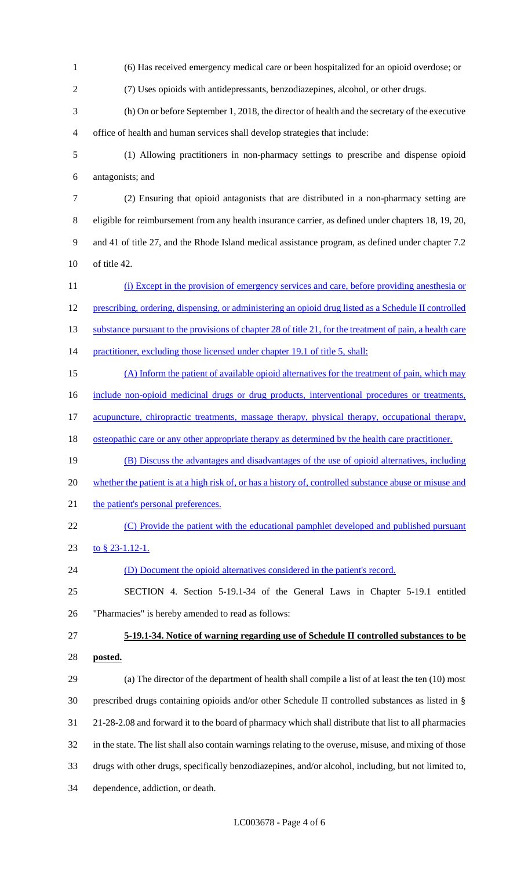(6) Has received emergency medical care or been hospitalized for an opioid overdose; or (7) Uses opioids with antidepressants, benzodiazepines, alcohol, or other drugs. (h) On or before September 1, 2018, the director of health and the secretary of the executive office of health and human services shall develop strategies that include: (1) Allowing practitioners in non-pharmacy settings to prescribe and dispense opioid antagonists; and (2) Ensuring that opioid antagonists that are distributed in a non-pharmacy setting are eligible for reimbursement from any health insurance carrier, as defined under chapters 18, 19, 20, and 41 of title 27, and the Rhode Island medical assistance program, as defined under chapter 7.2 of title 42. 11 (i) Except in the provision of emergency services and care, before providing anesthesia or prescribing, ordering, dispensing, or administering an opioid drug listed as a Schedule II controlled 13 substance pursuant to the provisions of chapter 28 of title 21, for the treatment of pain, a health care 14 practitioner, excluding those licensed under chapter 19.1 of title 5, shall: (A) Inform the patient of available opioid alternatives for the treatment of pain, which may 16 include non-opioid medicinal drugs or drug products, interventional procedures or treatments, 17 acupuncture, chiropractic treatments, massage therapy, physical therapy, occupational therapy, 18 osteopathic care or any other appropriate therapy as determined by the health care practitioner. (B) Discuss the advantages and disadvantages of the use of opioid alternatives, including whether the patient is at a high risk of, or has a history of, controlled substance abuse or misuse and 21 the patient's personal preferences. 22 (C) Provide the patient with the educational pamphlet developed and published pursuant to § 23-1.12-1. (D) Document the opioid alternatives considered in the patient's record. SECTION 4. Section 5-19.1-34 of the General Laws in Chapter 5-19.1 entitled "Pharmacies" is hereby amended to read as follows: **5-19.1-34. Notice of warning regarding use of Schedule II controlled substances to be posted.** (a) The director of the department of health shall compile a list of at least the ten (10) most prescribed drugs containing opioids and/or other Schedule II controlled substances as listed in § 21-28-2.08 and forward it to the board of pharmacy which shall distribute that list to all pharmacies in the state. The list shall also contain warnings relating to the overuse, misuse, and mixing of those drugs with other drugs, specifically benzodiazepines, and/or alcohol, including, but not limited to, dependence, addiction, or death.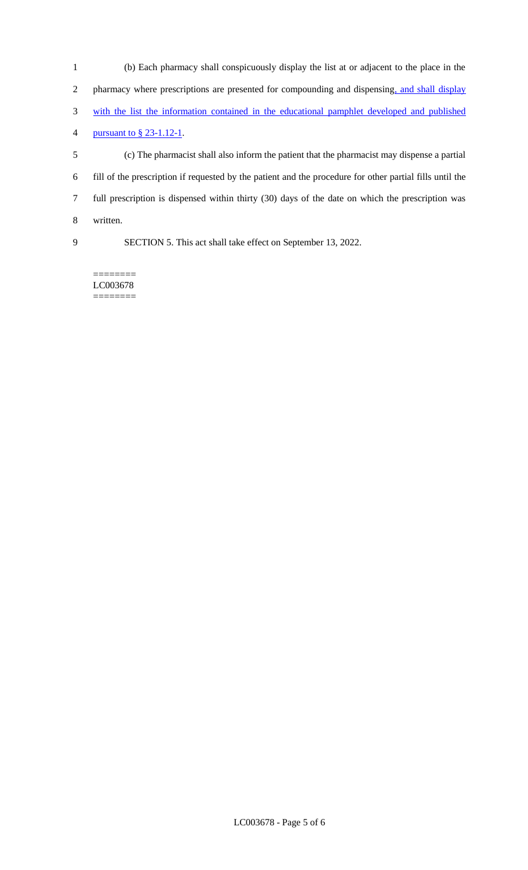| -1 | (b) Each pharmacy shall conspicuously display the list at or adjacent to the place in the                |
|----|----------------------------------------------------------------------------------------------------------|
| 2  | pharmacy where prescriptions are presented for compounding and dispensing, and shall display             |
| 3  | with the list the information contained in the educational pamphlet developed and published              |
| 4  | pursuant to $\S$ 23-1.12-1.                                                                              |
| 5  | (c) The pharmacist shall also inform the patient that the pharmacist may dispense a partial              |
| 6  | fill of the prescription if requested by the patient and the procedure for other partial fills until the |
| 7  | full prescription is dispensed within thirty (30) days of the date on which the prescription was         |
| 8  | written.                                                                                                 |
| 9  | SECTION 5. This act shall take effect on September 13, 2022.                                             |
|    |                                                                                                          |

======== LC003678 ========